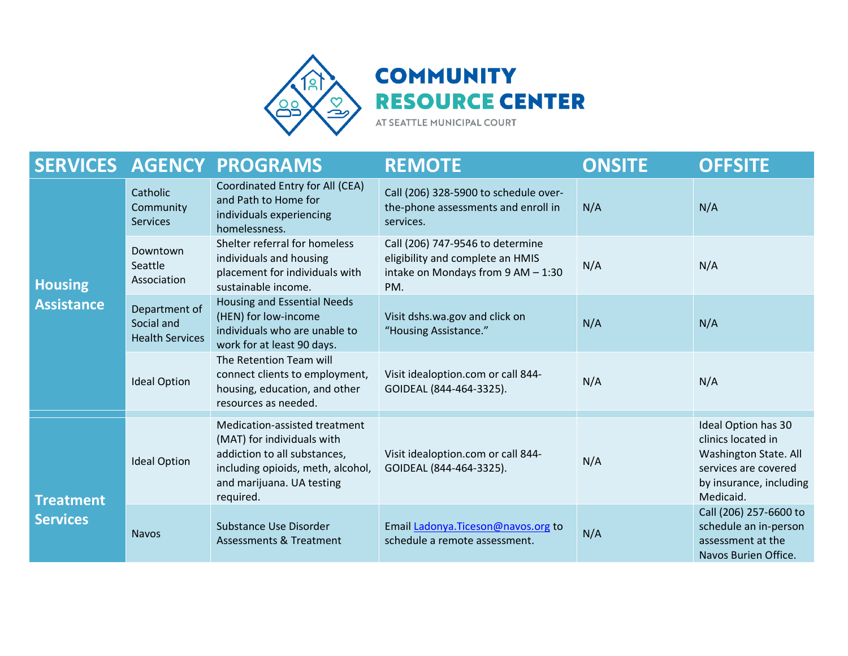

## **COMMUNITY RESOURCE CENTER**

AT SEATTLE MUNICIPAL COURT

|                                     |                                                       | <b>SERVICES AGENCY PROGRAMS</b>                                                                                                                                            | <b>REMOTE</b>                                                                                                     | <b>ONSITE</b> | <b>OFFSITE</b>                                                                                                                     |
|-------------------------------------|-------------------------------------------------------|----------------------------------------------------------------------------------------------------------------------------------------------------------------------------|-------------------------------------------------------------------------------------------------------------------|---------------|------------------------------------------------------------------------------------------------------------------------------------|
| <b>Housing</b><br><b>Assistance</b> | Catholic<br>Community<br><b>Services</b>              | Coordinated Entry for All (CEA)<br>and Path to Home for<br>individuals experiencing<br>homelessness.                                                                       | Call (206) 328-5900 to schedule over-<br>the-phone assessments and enroll in<br>services.                         | N/A           | N/A                                                                                                                                |
|                                     | Downtown<br>Seattle<br>Association                    | Shelter referral for homeless<br>individuals and housing<br>placement for individuals with<br>sustainable income.                                                          | Call (206) 747-9546 to determine<br>eligibility and complete an HMIS<br>intake on Mondays from 9 AM - 1:30<br>PM. | N/A           | N/A                                                                                                                                |
|                                     | Department of<br>Social and<br><b>Health Services</b> | <b>Housing and Essential Needs</b><br>(HEN) for low-income<br>individuals who are unable to<br>work for at least 90 days.                                                  | Visit dshs.wa.gov and click on<br>"Housing Assistance."                                                           | N/A           | N/A                                                                                                                                |
|                                     | <b>Ideal Option</b>                                   | The Retention Team will<br>connect clients to employment,<br>housing, education, and other<br>resources as needed.                                                         | Visit idealoption.com or call 844-<br>GOIDEAL (844-464-3325).                                                     | N/A           | N/A                                                                                                                                |
| <b>Treatment</b><br><b>Services</b> | <b>Ideal Option</b>                                   | Medication-assisted treatment<br>(MAT) for individuals with<br>addiction to all substances,<br>including opioids, meth, alcohol,<br>and marijuana. UA testing<br>required. | Visit idealoption.com or call 844-<br>GOIDEAL (844-464-3325).                                                     | N/A           | Ideal Option has 30<br>clinics located in<br>Washington State. All<br>services are covered<br>by insurance, including<br>Medicaid. |
|                                     | <b>Navos</b>                                          | Substance Use Disorder<br>Assessments & Treatment                                                                                                                          | Email Ladonya. Ticeson@navos.org to<br>schedule a remote assessment.                                              | N/A           | Call (206) 257-6600 to<br>schedule an in-person<br>assessment at the<br>Navos Burien Office.                                       |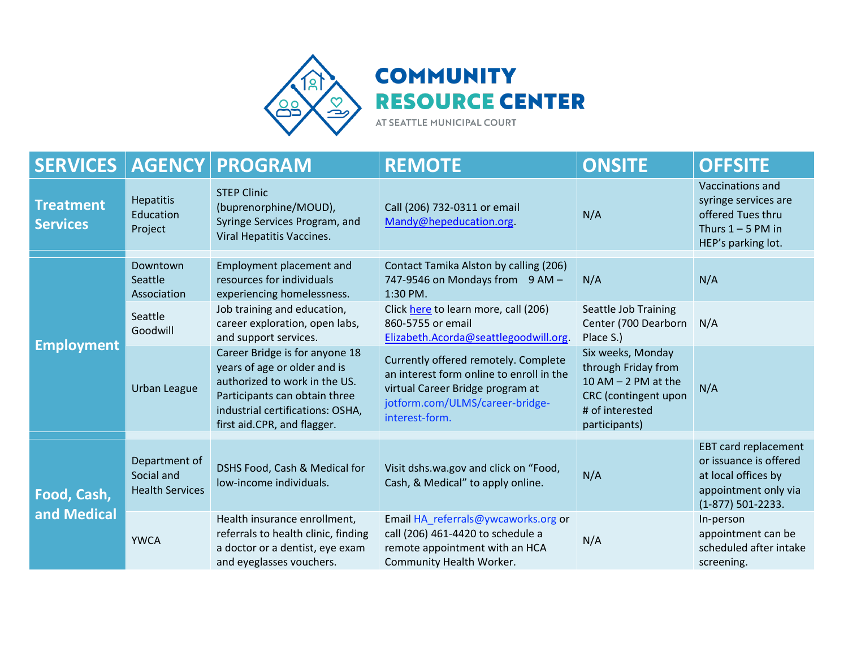

## **COMMUNITY RESOURCE CENTER**

AT SEATTLE MUNICIPAL COURT

| <b>SERVICES</b>                     | <b>AGENCY</b>                                         | <b>PROGRAM</b>                                                                                                                                                                                      | <b>REMOTE</b>                                                                                                                                                             | <b>ONSITE</b>                                                                                                                   | <b>OFFSITE</b>                                                                                                              |
|-------------------------------------|-------------------------------------------------------|-----------------------------------------------------------------------------------------------------------------------------------------------------------------------------------------------------|---------------------------------------------------------------------------------------------------------------------------------------------------------------------------|---------------------------------------------------------------------------------------------------------------------------------|-----------------------------------------------------------------------------------------------------------------------------|
| <b>Treatment</b><br><b>Services</b> | <b>Hepatitis</b><br>Education<br>Project              | <b>STEP Clinic</b><br>(buprenorphine/MOUD),<br>Syringe Services Program, and<br>Viral Hepatitis Vaccines.                                                                                           | Call (206) 732-0311 or email<br>Mandy@hepeducation.org.                                                                                                                   | N/A                                                                                                                             | Vaccinations and<br>syringe services are<br>offered Tues thru<br>Thurs $1 - 5$ PM in<br>HEP's parking lot.                  |
| <b>Employment</b>                   | Downtown<br>Seattle<br>Association                    | Employment placement and<br>resources for individuals<br>experiencing homelessness.                                                                                                                 | Contact Tamika Alston by calling (206)<br>747-9546 on Mondays from 9 AM -<br>1:30 PM.                                                                                     | N/A                                                                                                                             | N/A                                                                                                                         |
|                                     | Seattle<br>Goodwill                                   | Job training and education,<br>career exploration, open labs,<br>and support services.                                                                                                              | Click here to learn more, call (206)<br>860-5755 or email<br>Elizabeth.Acorda@seattlegoodwill.org.                                                                        | Seattle Job Training<br>Center (700 Dearborn<br>Place S.)                                                                       | N/A                                                                                                                         |
|                                     | <b>Urban League</b>                                   | Career Bridge is for anyone 18<br>years of age or older and is<br>authorized to work in the US.<br>Participants can obtain three<br>industrial certifications: OSHA,<br>first aid.CPR, and flagger. | Currently offered remotely. Complete<br>an interest form online to enroll in the<br>virtual Career Bridge program at<br>jotform.com/ULMS/career-bridge-<br>interest-form. | Six weeks, Monday<br>through Friday from<br>$10$ AM $-$ 2 PM at the<br>CRC (contingent upon<br># of interested<br>participants) | N/A                                                                                                                         |
| Food, Cash,<br>and Medical          | Department of<br>Social and<br><b>Health Services</b> | DSHS Food, Cash & Medical for<br>low-income individuals.                                                                                                                                            | Visit dshs.wa.gov and click on "Food,<br>Cash, & Medical" to apply online.                                                                                                | N/A                                                                                                                             | <b>EBT card replacement</b><br>or issuance is offered<br>at local offices by<br>appointment only via<br>$(1-877)$ 501-2233. |
|                                     | <b>YWCA</b>                                           | Health insurance enrollment,<br>referrals to health clinic, finding<br>a doctor or a dentist, eye exam<br>and eyeglasses vouchers.                                                                  | Email HA_referrals@ywcaworks.org or<br>call (206) 461-4420 to schedule a<br>remote appointment with an HCA<br>Community Health Worker.                                    | N/A                                                                                                                             | In-person<br>appointment can be<br>scheduled after intake<br>screening.                                                     |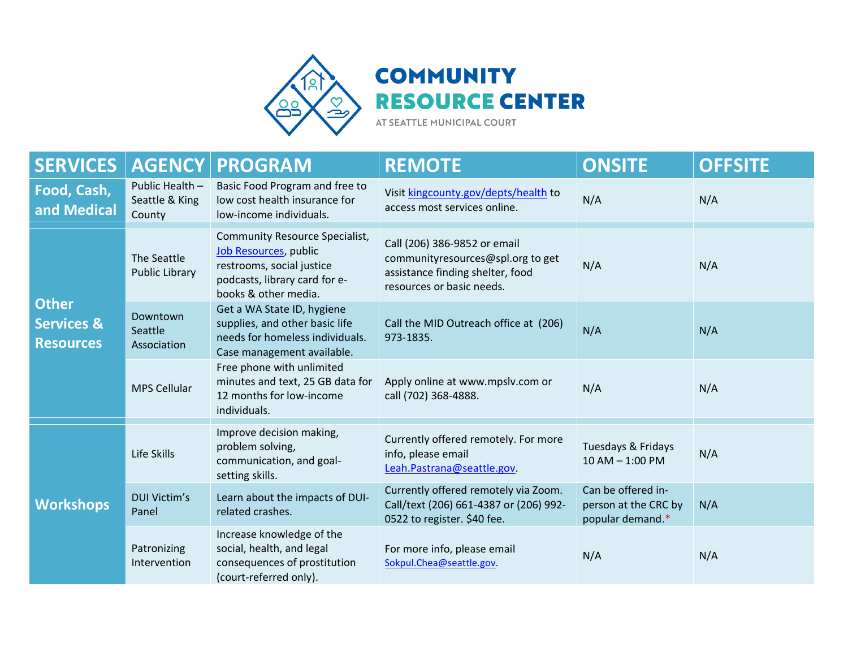

## **COMMUNITY RESOURCE CENTER**

AT SEATTLE MUNICIPAL COURT

| <b>SERVICES</b>                                           | <b>AGENCY</b>                               | <b>PROGRAM</b>                                                                                                                                       | <b>REMOTE</b>                                                                                                                      | <b>ONSITE</b>                                                  | <b>OFFSITE</b> |
|-----------------------------------------------------------|---------------------------------------------|------------------------------------------------------------------------------------------------------------------------------------------------------|------------------------------------------------------------------------------------------------------------------------------------|----------------------------------------------------------------|----------------|
| Food, Cash,<br>and Medical                                | Public Health -<br>Seattle & King<br>County | Basic Food Program and free to<br>low cost health insurance for<br>low-income individuals.                                                           | Visit kingcounty.gov/depts/health to<br>access most services online.                                                               | N/A                                                            | N/A            |
| <b>Other</b><br><b>Services &amp;</b><br><b>Resources</b> | The Seattle<br>Public Library               | <b>Community Resource Specialist,</b><br>Job Resources, public<br>restrooms, social justice<br>podcasts, library card for e-<br>books & other media. | Call (206) 386-9852 or email<br>communityresources@spl.org to get<br>assistance finding shelter, food<br>resources or basic needs. | N/A                                                            | N/A            |
|                                                           | Downtown<br>Seattle<br>Association          | Get a WA State ID, hygiene<br>supplies, and other basic life<br>needs for homeless individuals.<br>Case management available.                        | Call the MID Outreach office at (206)<br>973-1835.                                                                                 | N/A                                                            | N/A            |
|                                                           | <b>MPS Cellular</b>                         | Free phone with unlimited<br>minutes and text, 25 GB data for<br>12 months for low-income<br>individuals.                                            | Apply online at www.mpslv.com or<br>call (702) 368-4888.                                                                           | N/A                                                            | N/A            |
| <b>Workshops</b>                                          | Life Skills                                 | Improve decision making,<br>problem solving,<br>communication, and goal-<br>setting skills.                                                          | Currently offered remotely. For more<br>info, please email<br>Leah.Pastrana@seattle.gov.                                           | Tuesdays & Fridays<br>$10 AM - 1:00 PM$                        | N/A            |
|                                                           | <b>DUI Victim's</b><br>Panel                | Learn about the impacts of DUI-<br>related crashes.                                                                                                  | Currently offered remotely via Zoom.<br>Call/text (206) 661-4387 or (206) 992-<br>0522 to register. \$40 fee.                      | Can be offered in-<br>person at the CRC by<br>popular demand.* | N/A            |
|                                                           | Patronizing<br>Intervention                 | Increase knowledge of the<br>social, health, and legal<br>consequences of prostitution<br>(court-referred only).                                     | For more info, please email<br>Sokpul.Chea@seattle.gov.                                                                            | N/A                                                            | N/A            |